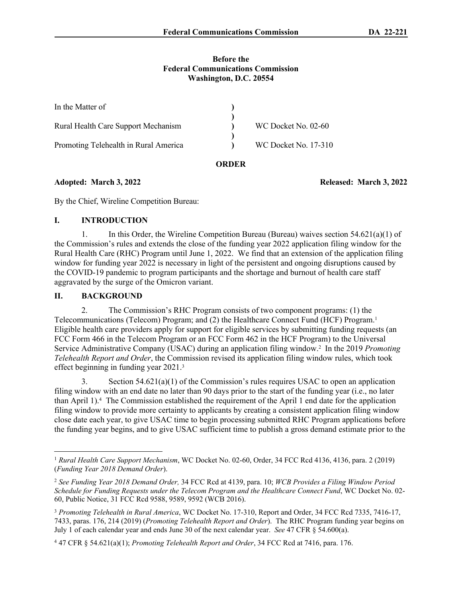### **Before the Federal Communications Commission Washington, D.C. 20554**

| In the Matter of                      |                      |
|---------------------------------------|----------------------|
|                                       |                      |
| Rural Health Care Support Mechanism   | WC Docket No. 02-60  |
| Promoting Telehealth in Rural America | WC Docket No. 17-310 |

## **ORDER**

**Adopted: March 3, 2022 Released: March 3, 2022**

By the Chief, Wireline Competition Bureau:

# **I. INTRODUCTION**

1. In this Order, the Wireline Competition Bureau (Bureau) waives section  $54.621(a)(1)$  of the Commission's rules and extends the close of the funding year 2022 application filing window for the Rural Health Care (RHC) Program until June 1, 2022. We find that an extension of the application filing window for funding year 2022 is necessary in light of the persistent and ongoing disruptions caused by the COVID-19 pandemic to program participants and the shortage and burnout of health care staff aggravated by the surge of the Omicron variant.

# **II. BACKGROUND**

2. The Commission's RHC Program consists of two component programs: (1) the Telecommunications (Telecom) Program; and (2) the Healthcare Connect Fund (HCF) Program.<sup>1</sup> Eligible health care providers apply for support for eligible services by submitting funding requests (an FCC Form 466 in the Telecom Program or an FCC Form 462 in the HCF Program) to the Universal Service Administrative Company (USAC) during an application filing window.<sup>2</sup> In the 2019 *Promoting Telehealth Report and Order*, the Commission revised its application filing window rules, which took effect beginning in funding year 2021.<sup>3</sup>

3. Section  $54.621(a)(1)$  of the Commission's rules requires USAC to open an application filing window with an end date no later than 90 days prior to the start of the funding year (i.e., no later than April 1).<sup>4</sup> The Commission established the requirement of the April 1 end date for the application filing window to provide more certainty to applicants by creating a consistent application filing window close date each year, to give USAC time to begin processing submitted RHC Program applications before the funding year begins, and to give USAC sufficient time to publish a gross demand estimate prior to the

<sup>1</sup>  *Rural Health Care Support Mechanism*, WC Docket No. 02-60, Order, 34 FCC Rcd 4136, 4136, para. 2 (2019) (*Funding Year 2018 Demand Order*).

<sup>2</sup> *See Funding Year 2018 Demand Order,* 34 FCC Rcd at 4139, para. 10; *WCB Provides a Filing Window Period Schedule for Funding Requests under the Telecom Program and the Healthcare Connect Fund*, WC Docket No. 02- 60, Public Notice, 31 FCC Rcd 9588, 9589, 9592 (WCB 2016).

<sup>3</sup> *Promoting Telehealth in Rural America*, WC Docket No. 17-310, Report and Order, 34 FCC Rcd 7335, 7416-17, 7433, paras. 176, 214 (2019) (*Promoting Telehealth Report and Order*). The RHC Program funding year begins on July 1 of each calendar year and ends June 30 of the next calendar year. *See* 47 CFR § 54.600(a).

<sup>4</sup> 47 CFR § 54.621(a)(1); *Promoting Telehealth Report and Order*, 34 FCC Rcd at 7416, para. 176.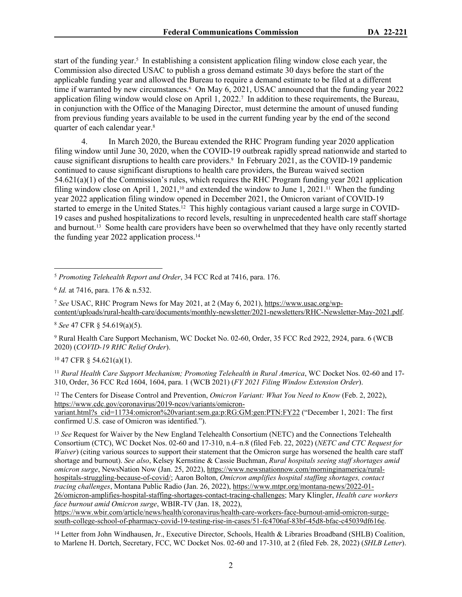start of the funding year.<sup>5</sup> In establishing a consistent application filing window close each year, the Commission also directed USAC to publish a gross demand estimate 30 days before the start of the applicable funding year and allowed the Bureau to require a demand estimate to be filed at a different time if warranted by new circumstances.<sup>6</sup> On May 6, 2021, USAC announced that the funding year 2022 application filing window would close on April 1, 2022.<sup>7</sup> In addition to these requirements, the Bureau, in conjunction with the Office of the Managing Director, must determine the amount of unused funding from previous funding years available to be used in the current funding year by the end of the second quarter of each calendar year.<sup>8</sup>

4. In March 2020, the Bureau extended the RHC Program funding year 2020 application filing window until June 30, 2020, when the COVID-19 outbreak rapidly spread nationwide and started to cause significant disruptions to health care providers.<sup>9</sup> In February 2021, as the COVID-19 pandemic continued to cause significant disruptions to health care providers, the Bureau waived section 54.621(a)(1) of the Commission's rules, which requires the RHC Program funding year 2021 application filing window close on April 1, 2021,<sup>10</sup> and extended the window to June 1, 2021.<sup>11</sup> When the funding year 2022 application filing window opened in December 2021, the Omicron variant of COVID-19 started to emerge in the United States.<sup>12</sup> This highly contagious variant caused a large surge in COVID-19 cases and pushed hospitalizations to record levels, resulting in unprecedented health care staff shortage and burnout.13 Some health care providers have been so overwhelmed that they have only recently started the funding year 2022 application process.<sup>14</sup>

<sup>7</sup> *See* USAC, RHC Program News for May 2021, at 2 (May 6, 2021), [https://www.usac.org/wp](https://www.usac.org/wp-content/uploads/rural-health-care/documents/monthly-newsletter/2021-newsletters/RHC-Newsletter-May-2021.pdf)[content/uploads/rural-health-care/documents/monthly-newsletter/2021-newsletters/RHC-Newsletter-May-2021.pdf](https://www.usac.org/wp-content/uploads/rural-health-care/documents/monthly-newsletter/2021-newsletters/RHC-Newsletter-May-2021.pdf).

<sup>8</sup> *See* 47 CFR § 54.619(a)(5).

9 Rural Health Care Support Mechanism, WC Docket No. 02-60, Order, 35 FCC Rcd 2922, 2924, para. 6 (WCB 2020) (*COVID-19 RHC Relief Order*).

<sup>10</sup> 47 CFR § 54.621(a)(1).

<sup>11</sup> Rural Health Care Support Mechanism; Promoting Telehealth in Rural America, WC Docket Nos. 02-60 and 17-310, Order, 36 FCC Rcd 1604, 1604, para. 1 (WCB 2021) (*FY 2021 Filing Window Extension Order*).

<sup>12</sup> The Centers for Disease Control and Prevention, *Omicron Variant: What You Need to Know* (Feb. 2, 2022), [https://www.cdc.gov/coronavirus/2019-ncov/variants/omicron](https://www.cdc.gov/coronavirus/2019-ncov/variants/omicron-variant.html?s_cid=11734:omicron%20variant:sem.ga:p:RG:GM:gen:PTN:FY22)[variant.html?s\\_cid=11734:omicron%20variant:sem.ga:p:RG:GM:gen:PTN:FY22](https://www.cdc.gov/coronavirus/2019-ncov/variants/omicron-variant.html?s_cid=11734:omicron%20variant:sem.ga:p:RG:GM:gen:PTN:FY22) ("December 1, 2021: The first confirmed U.S. case of Omicron was identified.").

<sup>13</sup> *See* Request for Waiver by the New England Telehealth Consortium (NETC) and the Connections Telehealth Consortium (CTC), WC Docket Nos. 02-60 and 17-310, n.4–n.8 (filed Feb. 22, 2022) (*NETC and CTC Request for Waiver*) (citing various sources to support their statement that the Omicron surge has worsened the health care staff shortage and burnout). *See also*, Kelsey Kernstine & Cassie Buchman, *Rural hospitals seeing staff shortages amid omicron surge*, NewsNation Now (Jan. 25, 2022), [https://www.newsnationnow.com/morninginamerica/rural](https://www.newsnationnow.com/morninginamerica/rural-hospitals-struggling-because-of-covid/)[hospitals-struggling-because-of-covid/](https://www.newsnationnow.com/morninginamerica/rural-hospitals-struggling-because-of-covid/); Aaron Bolton, *Omicron amplifies hospital staffing shortages, contact tracing challenges*, Montana Public Radio (Jan. 26, 2022), [https://www.mtpr.org/montana-news/2022-01-](https://www.mtpr.org/montana-news/2022-01-26/omicron-amplifies-hospital-staffing-shortages-contact-tracing-challenges) [26/omicron-amplifies-hospital-staffing-shortages-contact-tracing-challenges](https://www.mtpr.org/montana-news/2022-01-26/omicron-amplifies-hospital-staffing-shortages-contact-tracing-challenges); Mary Klingler, *Health care workers face burnout amid Omicron surge*, WBIR-TV (Jan. 18, 2022),

[https://www.wbir.com/article/news/health/coronavirus/health-care-workers-face-burnout-amid-omicron-surge](https://www.wbir.com/article/news/health/coronavirus/health-care-workers-face-burnout-amid-omicron-surge-south-college-school-of-pharmacy-covid-19-testing-rise-in-cases/51-fc4706af-83bf-45d8-bfac-c45039df616e)[south-college-school-of-pharmacy-covid-19-testing-rise-in-cases/51-fc4706af-83bf-45d8-bfac-c45039df616e.](https://www.wbir.com/article/news/health/coronavirus/health-care-workers-face-burnout-amid-omicron-surge-south-college-school-of-pharmacy-covid-19-testing-rise-in-cases/51-fc4706af-83bf-45d8-bfac-c45039df616e)

<sup>14</sup> Letter from John Windhausen, Jr., Executive Director, Schools, Health & Libraries Broadband (SHLB) Coalition, to Marlene H. Dortch, Secretary, FCC, WC Docket Nos. 02-60 and 17-310, at 2 (filed Feb. 28, 2022) (*SHLB Letter*).

<sup>5</sup> *Promoting Telehealth Report and Order*, 34 FCC Rcd at 7416, para. 176.

<sup>6</sup> *Id.* at 7416, para. 176 & n.532.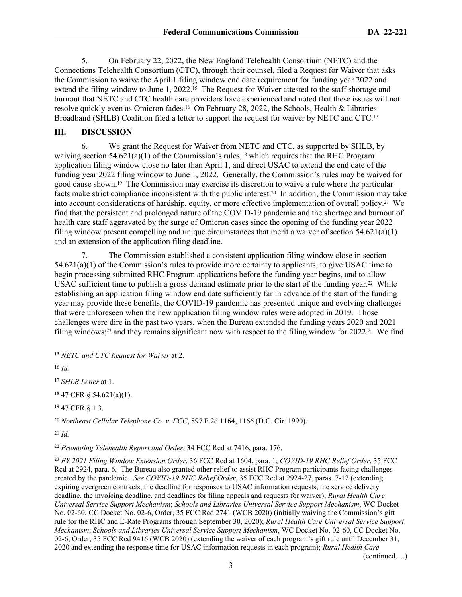5. On February 22, 2022, the New England Telehealth Consortium (NETC) and the Connections Telehealth Consortium (CTC), through their counsel, filed a Request for Waiver that asks the Commission to waive the April 1 filing window end date requirement for funding year 2022 and extend the filing window to June 1, 2022.<sup>15</sup> The Request for Waiver attested to the staff shortage and burnout that NETC and CTC health care providers have experienced and noted that these issues will not resolve quickly even as Omicron fades.16 On February 28, 2022, the Schools, Health & Libraries Broadband (SHLB) Coalition filed a letter to support the request for waiver by NETC and CTC.<sup>17</sup>

### **III. DISCUSSION**

6. We grant the Request for Waiver from NETC and CTC, as supported by SHLB, by waiving section  $54.621(a)(1)$  of the Commission's rules,<sup>18</sup> which requires that the RHC Program application filing window close no later than April 1, and direct USAC to extend the end date of the funding year 2022 filing window to June 1, 2022. Generally, the Commission's rules may be waived for good cause shown.19 The Commission may exercise its discretion to waive a rule where the particular facts make strict compliance inconsistent with the public interest.20 In addition, the Commission may take into account considerations of hardship, equity, or more effective implementation of overall policy.21 We find that the persistent and prolonged nature of the COVID-19 pandemic and the shortage and burnout of health care staff aggravated by the surge of Omicron cases since the opening of the funding year 2022 filing window present compelling and unique circumstances that merit a waiver of section 54.621(a)(1) and an extension of the application filing deadline.

7. The Commission established a consistent application filing window close in section 54.621(a)(1) of the Commission's rules to provide more certainty to applicants, to give USAC time to begin processing submitted RHC Program applications before the funding year begins, and to allow USAC sufficient time to publish a gross demand estimate prior to the start of the funding year.<sup>22</sup> While establishing an application filing window end date sufficiently far in advance of the start of the funding year may provide these benefits, the COVID-19 pandemic has presented unique and evolving challenges that were unforeseen when the new application filing window rules were adopted in 2019. Those challenges were dire in the past two years, when the Bureau extended the funding years 2020 and 2021 filing windows;<sup>23</sup> and they remains significant now with respect to the filing window for  $2022.^{24}$  We find

<sup>17</sup> *SHLB Letter* at 1.

<sup>18</sup> 47 CFR § 54.621(a)(1).

<sup>19</sup> 47 CFR § 1.3.

<sup>20</sup> *Northeast Cellular Telephone Co. v. FCC*, 897 F.2d 1164, 1166 (D.C. Cir. 1990).

 $^{21}$  *Id.* 

<sup>22</sup> *Promoting Telehealth Report and Order*, 34 FCC Rcd at 7416, para. 176.

<sup>23</sup> *FY 2021 Filing Window Extension Order*, 36 FCC Rcd at 1604, para. 1; *COVID-19 RHC Relief Order*, 35 FCC Rcd at 2924, para. 6. The Bureau also granted other relief to assist RHC Program participants facing challenges created by the pandemic. *See COVID-19 RHC Relief Order*, 35 FCC Rcd at 2924-27, paras. 7-12 (extending expiring evergreen contracts, the deadline for responses to USAC information requests, the service delivery deadline, the invoicing deadline, and deadlines for filing appeals and requests for waiver); *Rural Health Care Universal Service Support Mechanism*; *Schools and Libraries Universal Service Support Mechanism*, WC Docket No. 02-60, CC Docket No. 02-6, Order, 35 FCC Rcd 2741 (WCB 2020) (initially waiving the Commission's gift rule for the RHC and E-Rate Programs through September 30, 2020); *Rural Health Care Universal Service Support Mechanism*; *Schools and Libraries Universal Service Support Mechanism*, WC Docket No. 02-60, CC Docket No. 02-6, Order, 35 FCC Rcd 9416 (WCB 2020) (extending the waiver of each program's gift rule until December 31, 2020 and extending the response time for USAC information requests in each program); *Rural Health Care* 

(continued….)

<sup>15</sup> *NETC and CTC Request for Waiver* at 2.

<sup>16</sup> *Id.*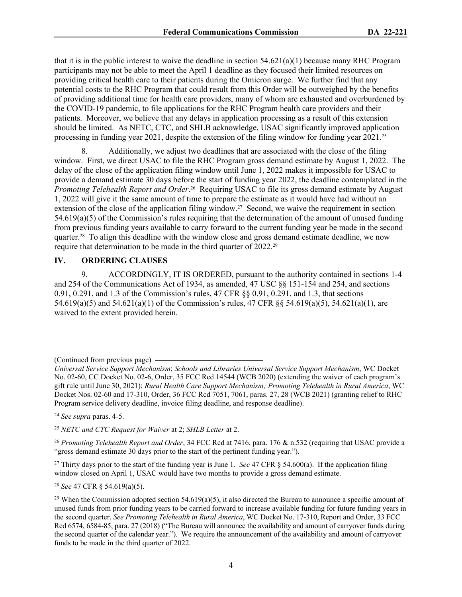that it is in the public interest to waive the deadline in section  $54.621(a)(1)$  because many RHC Program participants may not be able to meet the April 1 deadline as they focused their limited resources on providing critical health care to their patients during the Omicron surge. We further find that any potential costs to the RHC Program that could result from this Order will be outweighed by the benefits of providing additional time for health care providers, many of whom are exhausted and overburdened by the COVID-19 pandemic, to file applications for the RHC Program health care providers and their patients. Moreover, we believe that any delays in application processing as a result of this extension should be limited. As NETC, CTC, and SHLB acknowledge, USAC significantly improved application processing in funding year 2021, despite the extension of the filing window for funding year 2021.<sup>25</sup>

8. Additionally, we adjust two deadlines that are associated with the close of the filing window. First, we direct USAC to file the RHC Program gross demand estimate by August 1, 2022. The delay of the close of the application filing window until June 1, 2022 makes it impossible for USAC to provide a demand estimate 30 days before the start of funding year 2022, the deadline contemplated in the Promoting Telehealth Report and Order.<sup>26</sup> Requiring USAC to file its gross demand estimate by August 1, 2022 will give it the same amount of time to prepare the estimate as it would have had without an extension of the close of the application filing window.<sup>27</sup> Second, we waive the requirement in section 54.619(a)(5) of the Commission's rules requiring that the determination of the amount of unused funding from previous funding years available to carry forward to the current funding year be made in the second quarter.28 To align this deadline with the window close and gross demand estimate deadline, we now require that determination to be made in the third quarter of 2022.<sup>29</sup>

# **IV. ORDERING CLAUSES**

9. ACCORDINGLY, IT IS ORDERED, pursuant to the authority contained in sections 1-4 and 254 of the Communications Act of 1934, as amended, 47 USC §§ 151-154 and 254, and sections 0.91, 0.291, and 1.3 of the Commission's rules, 47 CFR §§ 0.91, 0.291, and 1.3, that sections 54.619(a)(5) and 54.621(a)(1) of the Commission's rules, 47 CFR §§ 54.619(a)(5), 54.621(a)(1), are waived to the extent provided herein.

<sup>24</sup> *See supra* paras. 4-5.

<sup>27</sup> Thirty days prior to the start of the funding year is June 1. *See* 47 CFR § 54.600(a). If the application filing window closed on April 1, USAC would have two months to provide a gross demand estimate.

<sup>28</sup> *See* 47 CFR § 54.619(a)(5).

<sup>(</sup>Continued from previous page)

*Universal Service Support Mechanism*; *Schools and Libraries Universal Service Support Mechanism*, WC Docket No. 02-60, CC Docket No. 02-6, Order, 35 FCC Rcd 14544 (WCB 2020) (extending the waiver of each program's gift rule until June 30, 2021); *Rural Health Care Support Mechanism; Promoting Telehealth in Rural America*, WC Docket Nos. 02-60 and 17-310, Order, 36 FCC Rcd 7051, 7061, paras. 27, 28 (WCB 2021) (granting relief to RHC Program service delivery deadline, invoice filing deadline, and response deadline).

<sup>25</sup> *NETC and CTC Request for Waiver* at 2; *SHLB Letter* at 2.

<sup>&</sup>lt;sup>26</sup> *Promoting Telehealth Report and Order*, 34 FCC Rcd at 7416, para. 176 & n.532 (requiring that USAC provide a "gross demand estimate 30 days prior to the start of the pertinent funding year.").

<sup>&</sup>lt;sup>29</sup> When the Commission adopted section 54.619(a)(5), it also directed the Bureau to announce a specific amount of unused funds from prior funding years to be carried forward to increase available funding for future funding years in the second quarter. *See Promoting Telehealth in Rural America*, WC Docket No. 17-310, Report and Order, 33 FCC Rcd 6574, 6584-85, para. 27 (2018) ("The Bureau will announce the availability and amount of carryover funds during the second quarter of the calendar year."). We require the announcement of the availability and amount of carryover funds to be made in the third quarter of 2022.